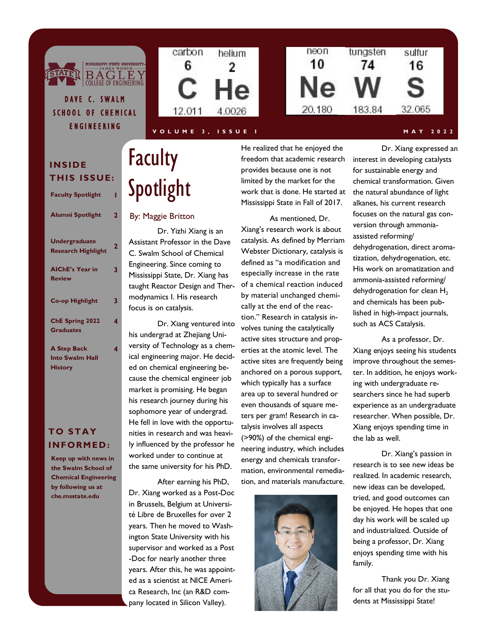

### **V O L U M E 3 , I S S U E I M A Y 2 0 2 2**

## **INSIDE THIS ISSUE:**

DAVE C. SWALM

**GTATE** 

E N G I N E E R I N G

| <b>Faculty Spotlight</b>                          |                |
|---------------------------------------------------|----------------|
| Alumni Spotlight                                  | $\overline{2}$ |
| <b>Undergraduate</b><br><b>Research Highlight</b> | $\overline{2}$ |
| <b>AIChE's Year in</b><br><b>Review</b>           | 3              |
| <b>Co-op Highlight</b>                            | 3              |
| ChE Spring 2022<br><b>Graduates</b>               | 4              |
| A. Creat David                                    |                |

**4**

#### **A Step Back Into Swalm Hall History**

## **TO STAY INFORMED :**

**Keep up with news in the Swalm School of Chemical Engineering by following us at che.msstate.edu**

# Faculty **Spotlight**

### By: Maggie Britton

Dr. Yizhi Xiang is an Assistant Professor in the Dave C. Swalm School of Chemical Engineering. Since coming to Mississippi State, Dr. Xiang has taught Reactor Design and Thermodynamics I. His research focus is on catalysis.

Dr. Xiang ventured into his undergrad at Zhejiang University of Technology as a chemical engineering major. He decided on chemical engineering because the chemical engineer job market is promising. He began his research journey during his sophomore year of undergrad. He fell in love with the opportunities in research and was heavily influenced by the professor he worked under to continue at the same university for his PhD.

After earning his PhD, Dr. Xiang worked as a Post-Doc in Brussels, Belgium at Université Libre de Bruxelles for over 2 years. Then he moved to Washington State University with his supervisor and worked as a Post -Doc for nearly another three years. After this, he was appointed as a scientist at NICE America Research, Inc (an R&D company located in Silicon Valley).

He realized that he enjoyed the freedom that academic research provides because one is not limited by the market for the work that is done. He started at Mississippi State in Fall of 2017.

#### As mentioned, Dr.

Xiang's research work is about catalysis. As defined by Merriam Webster Dictionary, catalysis is defined as "a modification and especially increase in the rate of a chemical reaction induced by material unchanged chemically at the end of the reaction." Research in catalysis involves tuning the catalytically active sites structure and properties at the atomic level. The active sites are frequently being anchored on a porous support, which typically has a surface area up to several hundred or even thousands of square meters per gram! Research in catalysis involves all aspects (>90%) of the chemical engineering industry, which includes energy and chemicals transformation, environmental remediation, and materials manufacture.



Dr. Xiang expressed an interest in developing catalysts for sustainable energy and chemical transformation. Given the natural abundance of light alkanes, his current research focuses on the natural gas conversion through ammoniaassisted reforming/ dehydrogenation, direct aromatization, dehydrogenation, etc. His work on aromatization and ammonia-assisted reforming/ dehydrogenation for clean  $H_2$ and chemicals has been published in high-impact journals, such as ACS Catalysis.

As a professor, Dr. Xiang enjoys seeing his students improve throughout the semester. In addition, he enjoys working with undergraduate researchers since he had superb experience as an undergraduate researcher. When possible, Dr. Xiang enjoys spending time in the lab as well.

Dr. Xiang's passion in research is to see new ideas be realized. In academic research, new ideas can be developed, tried, and good outcomes can be enjoyed. He hopes that one day his work will be scaled up and industrialized. Outside of being a professor, Dr. Xiang enjoys spending time with his family.

Thank you Dr. Xiang for all that you do for the students at Mississippi State!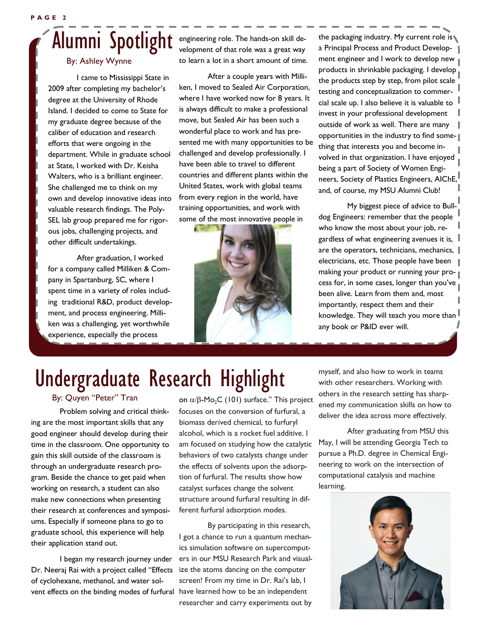# Alumni Spotlight

### By: Ashley Wynne

I came to Mississippi State in 2009 after completing my bachelor's degree at the University of Rhode Island. I decided to come to State for my graduate degree because of the caliber of education and research efforts that were ongoing in the department. While in graduate school at State, I worked with Dr. Keisha Walters, who is a brilliant engineer. She challenged me to think on my own and develop innovative ideas into valuable research findings. The Poly-SEL lab group prepared me for rigorous jobs, challenging projects, and other difficult undertakings.

After graduation, I worked for a company called Milliken & Company in Spartanburg, SC, where I spent time in a variety of roles including traditional R&D, product development, and process engineering. Milliken was a challenging, yet worthwhile experience, especially the process

engineering role. The hands-on skill development of that role was a great way to learn a lot in a short amount of time.

After a couple years with Milliken, I moved to Sealed Air Corporation, where I have worked now for 8 years. It is always difficult to make a professional move, but Sealed Air has been such a wonderful place to work and has presented me with many opportunities to be challenged and develop professionally. I have been able to travel to different countries and different plants within the United States, work with global teams from every region in the world, have training opportunities, and work with some of the most innovative people in



the packaging industry. My current role is a Principal Process and Product Development engineer and I work to develop new products in shrinkable packaging. I develop the products step by step, from pilot scale testing and conceptualization to commercial scale up. I also believe it is valuable to  $\parallel$ invest in your professional development outside of work as well. There are many opportunities in the industry to find something that interests you and become involved in that organization. I have enjoyed being a part of Society of Women Engineers, Society of Plastics Engineers, AIChE, and, of course, my MSU Alumni Club!

My biggest piece of advice to Bulldog Engineers: remember that the people who know the most about your job, regardless of what engineering avenues it is, are the operators, technicians, mechanics,  $\|$ electricians, etc. Those people have been making your product or running your process for, in some cases, longer than you've been alive. Learn from them and, most importantly, respect them and their knowledge. They will teach you more than  $\mathbb I$ any book or P&ID ever will.

# Undergraduate Research Highlight

By: Quyen "Peter" Tran

Problem solving and critical thinking are the most important skills that any good engineer should develop during their time in the classroom. One opportunity to gain this skill outside of the classroom is through an undergraduate research program. Beside the chance to get paid when working on research, a student can also make new connections when presenting their research at conferences and symposiums. Especially if someone plans to go to graduate school, this experience will help their application stand out.

I began my research journey under Dr. Neeraj Rai with a project called "Effects of cyclohexane, methanol, and water solvent effects on the binding modes of furfural have learned how to be an independent

on  $\alpha$ / $\beta$ -Mo<sub>2</sub>C (101) surface." This project focuses on the conversion of furfural, a biomass derived chemical, to furfuryl alcohol, which is a rocket fuel additive. I am focused on studying how the catalytic behaviors of two catalysts change under the effects of solvents upon the adsorption of furfural. The results show how catalyst surfaces change the solvent structure around furfural resulting in different furfural adsorption modes.

By participating in this research, I got a chance to run a quantum mechanics simulation software on supercomputers in our MSU Research Park and visualize the atoms dancing on the computer screen! From my time in Dr. Rai's lab, I researcher and carry experiments out by myself, and also how to work in teams with other researchers. Working with others in the research setting has sharpened my communication skills on how to deliver the idea across more effectively.

After graduating from MSU this May, I will be attending Georgia Tech to pursue a Ph.D. degree in Chemical Engineering to work on the intersection of computational catalysis and machine learning.

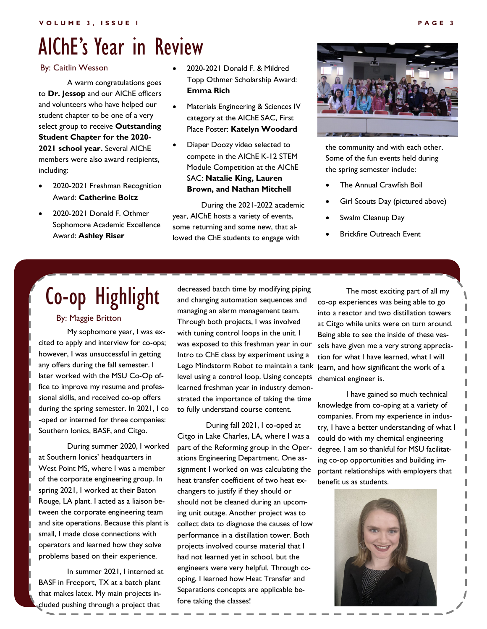## AIChE's Year in Review

#### By: Caitlin Wesson

A warm congratulations goes to **Dr. Jessop** and our AIChE officers and volunteers who have helped our student chapter to be one of a very select group to receive **Outstanding Student Chapter for the 2020- 2021 school year.** Several AIChE members were also award recipients, including:

- 2020-2021 Freshman Recognition Award: **Catherine Boltz**
- 2020-2021 Donald F. Othmer Sophomore Academic Excellence Award: **Ashley Riser**
- 2020-2021 Donald F. & Mildred Topp Othmer Scholarship Award: **Emma Rich**
- Materials Engineering & Sciences IV category at the AIChE SAC, First Place Poster: **Katelyn Woodard**
- Diaper Doozy video selected to compete in the AIChE K-12 STEM Module Competition at the AIChE SAC: **Natalie King, Lauren Brown, and Nathan Mitchell**

During the 2021-2022 academic year, AIChE hosts a variety of events, some returning and some new, that allowed the ChE students to engage with



the community and with each other. Some of the fun events held during the spring semester include:

- **The Annual Crawfish Boil**
- Girl Scouts Day (pictured above)
- Swalm Cleanup Day
- **Brickfire Outreach Event**

# Co-op Highlight

#### By: Maggie Britton

My sophomore year, I was excited to apply and interview for co-ops; however, I was unsuccessful in getting any offers during the fall semester. I later worked with the MSU Co-Op office to improve my resume and professional skills, and received co-op offers during the spring semester. In 2021, I co -oped or interned for three companies: Southern Ionics, BASF, and Citgo.

During summer 2020, I worked at Southern Ionics' headquarters in West Point MS, where I was a member of the corporate engineering group. In spring 2021, I worked at their Baton Rouge, LA plant. I acted as a liaison between the corporate engineering team and site operations. Because this plant is small, I made close connections with operators and learned how they solve problems based on their experience.

In summer 2021, I interned at BASF in Freeport, TX at a batch plant that makes latex. My main projects included pushing through a project that

decreased batch time by modifying piping and changing automation sequences and managing an alarm management team. Through both projects, I was involved with tuning control loops in the unit. I was exposed to this freshman year in our Intro to ChE class by experiment using a Lego Mindstorm Robot to maintain a tank level using a control loop. Using concepts learned freshman year in industry demonstrated the importance of taking the time to fully understand course content.

During fall 2021, I co-oped at Citgo in Lake Charles, LA, where I was a part of the Reforming group in the Operations Engineering Department. One assignment I worked on was calculating the heat transfer coefficient of two heat exchangers to justify if they should or should not be cleaned during an upcoming unit outage. Another project was to collect data to diagnose the causes of low performance in a distillation tower. Both projects involved course material that I had not learned yet in school, but the engineers were very helpful. Through cooping, I learned how Heat Transfer and Separations concepts are applicable before taking the classes!

The most exciting part of all my co-op experiences was being able to go into a reactor and two distillation towers at Citgo while units were on turn around. Being able to see the inside of these vessels have given me a very strong appreciation for what I have learned, what I will learn, and how significant the work of a chemical engineer is.

I have gained so much technical knowledge from co-oping at a variety of companies. From my experience in industry, I have a better understanding of what I could do with my chemical engineering degree. I am so thankful for MSU facilitating co-op opportunities and building important relationships with employers that benefit us as students.